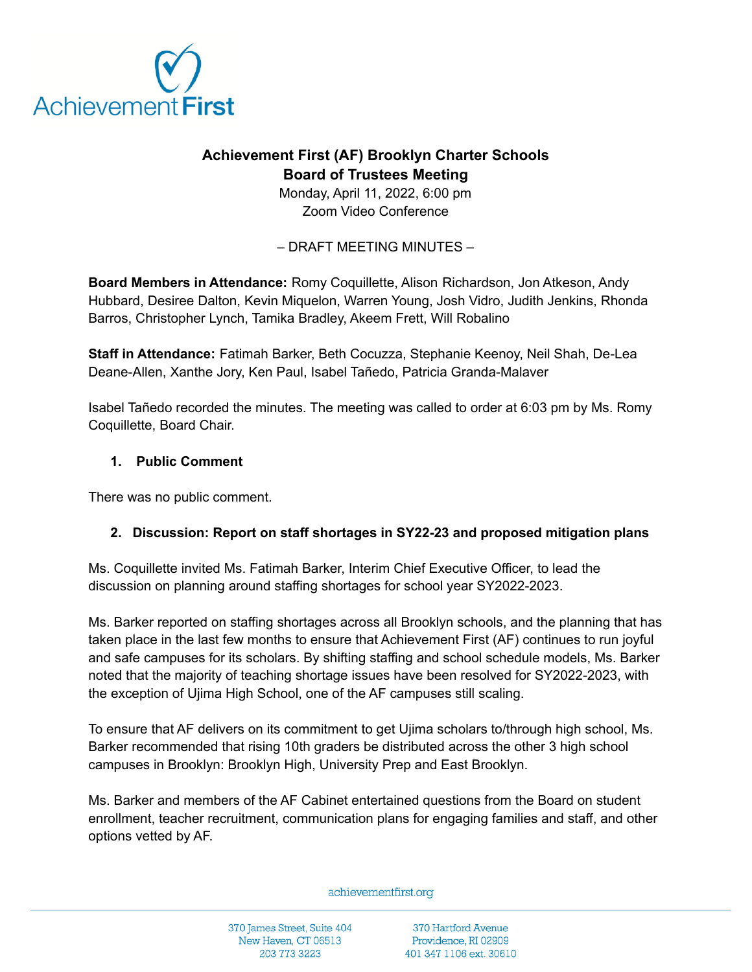

## **Achievement First (AF) Brooklyn Charter Schools Board of Trustees Meeting**

Monday, April 11, 2022, 6:00 pm Zoom Video Conference

– DRAFT MEETING MINUTES –

**Board Members in Attendance:** Romy Coquillette, Alison Richardson, Jon Atkeson, Andy Hubbard, Desiree Dalton, Kevin Miquelon, Warren Young, Josh Vidro, Judith Jenkins, Rhonda Barros, Christopher Lynch, Tamika Bradley, Akeem Frett, Will Robalino

**Staff in Attendance:** Fatimah Barker, Beth Cocuzza, Stephanie Keenoy, Neil Shah, De-Lea Deane-Allen, Xanthe Jory, Ken Paul, Isabel Tañedo, Patricia Granda-Malaver

Isabel Tañedo recorded the minutes. The meeting was called to order at 6:03 pm by Ms. Romy Coquillette, Board Chair.

## **1. Public Comment**

There was no public comment.

## **2. Discussion: Report on staff shortages in SY22-23 and proposed mitigation plans**

Ms. Coquillette invited Ms. Fatimah Barker, Interim Chief Executive Officer, to lead the discussion on planning around staffing shortages for school year SY2022-2023.

Ms. Barker reported on staffing shortages across all Brooklyn schools, and the planning that has taken place in the last few months to ensure that Achievement First (AF) continues to run joyful and safe campuses for its scholars. By shifting staffing and school schedule models, Ms. Barker noted that the majority of teaching shortage issues have been resolved for SY2022-2023, with the exception of Ujima High School, one of the AF campuses still scaling.

To ensure that AF delivers on its commitment to get Ujima scholars to/through high school, Ms. Barker recommended that rising 10th graders be distributed across the other 3 high school campuses in Brooklyn: Brooklyn High, University Prep and East Brooklyn.

Ms. Barker and members of the AF Cabinet entertained questions from the Board on student enrollment, teacher recruitment, communication plans for engaging families and staff, and other options vetted by AF.

achievementfirst.org

370 James Street, Suite 404 New Haven, CT 06513 203 773 3223

370 Hartford Avenue Providence, RI 02909 401 347 1106 ext. 30610